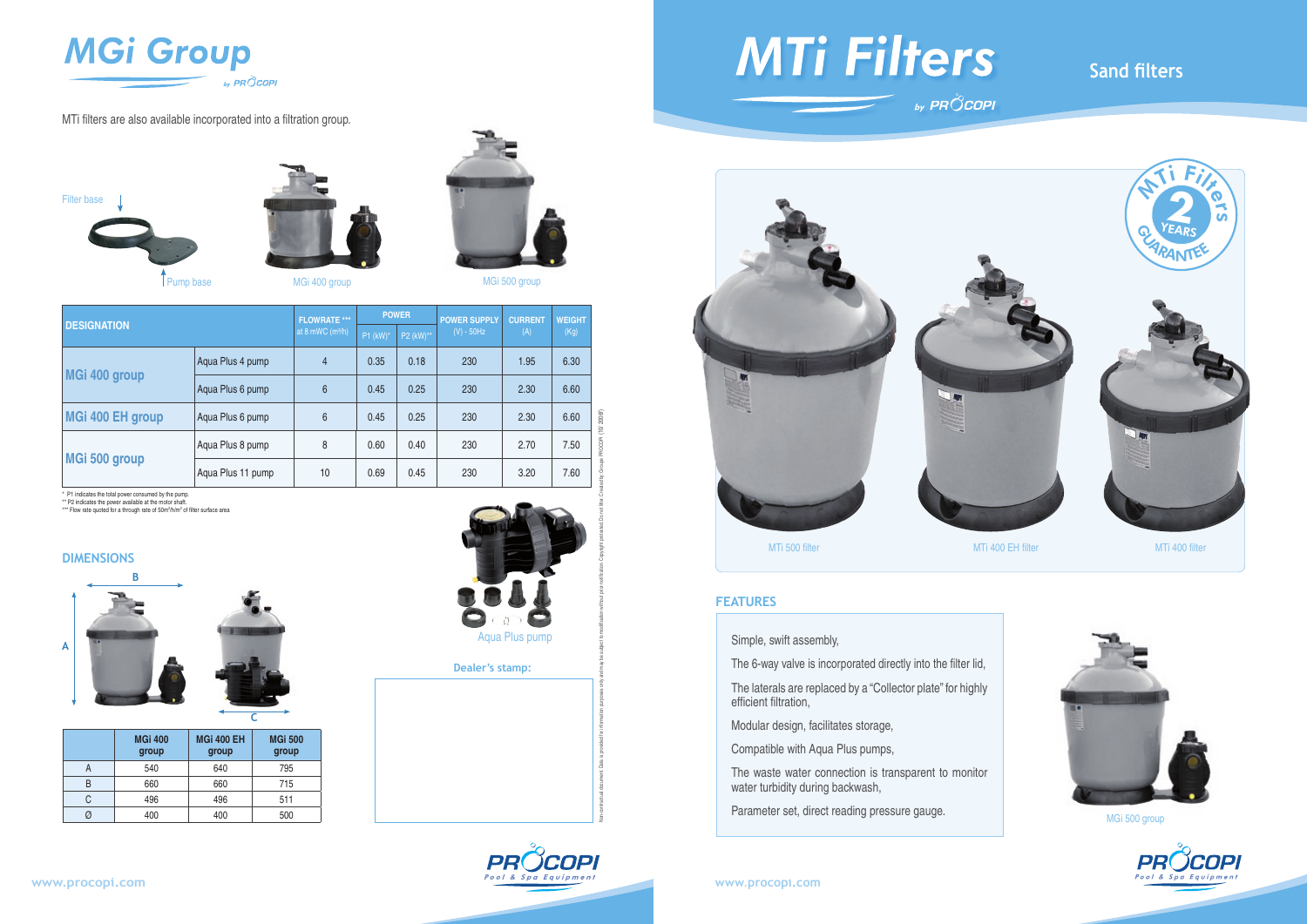

MTi filters are also available incorporated into a filtration group.



# **MTi Filters**



The laterals are replaced by a "Collector plate" for highly efficient filtration,

#### **DIMENSIONS**

Simple, swift assembly,

The 6-way valve is incorporated directly into the filter lid,

Modular design, facilitates storage,

Compatible with Aqua Plus pumps,

The waste water connection is transparent to monitor water turbidity during backwash,

Parameter set, direct reading pressure gauge.

### **Sand filters**





#### **FEATURES**

| <b>DESIGNATION</b>                                                                                        |                         |                            | <b>FLOWRATE ***</b><br>at 8 mWC $(m^3/h)$ | <b>POWER</b>           |           | <b>POWER SUPPLY</b> | <b>CURRENT</b> | <b>WEIGHT</b> |      |
|-----------------------------------------------------------------------------------------------------------|-------------------------|----------------------------|-------------------------------------------|------------------------|-----------|---------------------|----------------|---------------|------|
|                                                                                                           |                         |                            |                                           | $P1$ (kW) <sup>*</sup> | P2 (kW)** | $(V) - 50Hz$        | (A)            | (Kg)          |      |
| MGi 400 group                                                                                             |                         | Aqua Plus 4 pump           |                                           | $\overline{4}$         | 0.35      | 0.18                | 230            | 1.95          | 6.30 |
|                                                                                                           |                         | Aqua Plus 6 pump           |                                           | $6\phantom{1}$         | 0.45      | 0.25                | 230            | 2.30          | 6.60 |
| <b>MGi 400 EH group</b>                                                                                   |                         | Aqua Plus 6 pump           |                                           | $6\,$                  | 0.45      | 0.25                | 230            | 2.30          | 6.60 |
|                                                                                                           |                         | Aqua Plus 8 pump           |                                           | $\,8\,$                | 0.60      | 0.40                | 230            | 2.70          | 7.50 |
| MGi 500 group                                                                                             |                         | Aqua Plus 11 pump          |                                           | 10                     | 0.69      | 0.45                | 230            | 3.20          | 7.60 |
| <b>DIMENSIONS</b><br>Β<br><b>Aqua Plus pump</b><br>$\overline{\mathsf{A}}$<br><b>Dealer's stamp:</b><br>C |                         |                            |                                           |                        |           |                     |                |               |      |
|                                                                                                           | <b>MGi 400</b><br>group | <b>MGi 400 EH</b><br>group | <b>MGi 500</b><br>group                   |                        |           |                     |                |               |      |
| $\mathsf A$                                                                                               | 540                     | 640                        | 795                                       |                        |           |                     |                |               |      |
| B                                                                                                         | 660                     | 660                        | 715                                       |                        |           |                     |                |               |      |
| C                                                                                                         | 496                     | 496                        | 511                                       |                        |           |                     |                |               |      |
| Ø                                                                                                         | 400                     | 400                        | 500                                       |                        |           |                     |                |               |      |

|   | <b>MGi 400</b><br>group | <b>MGi 400 EH</b><br>group | <b>MGi 500</b><br>group |
|---|-------------------------|----------------------------|-------------------------|
|   | 540                     | 640                        | 795                     |
| R | 660                     | 660                        | 715                     |
| C | 496                     | 496                        | 511                     |
|   | 400                     | 400                        | 500                     |









MGi 400 group MGi 500 group



MGi 500 group